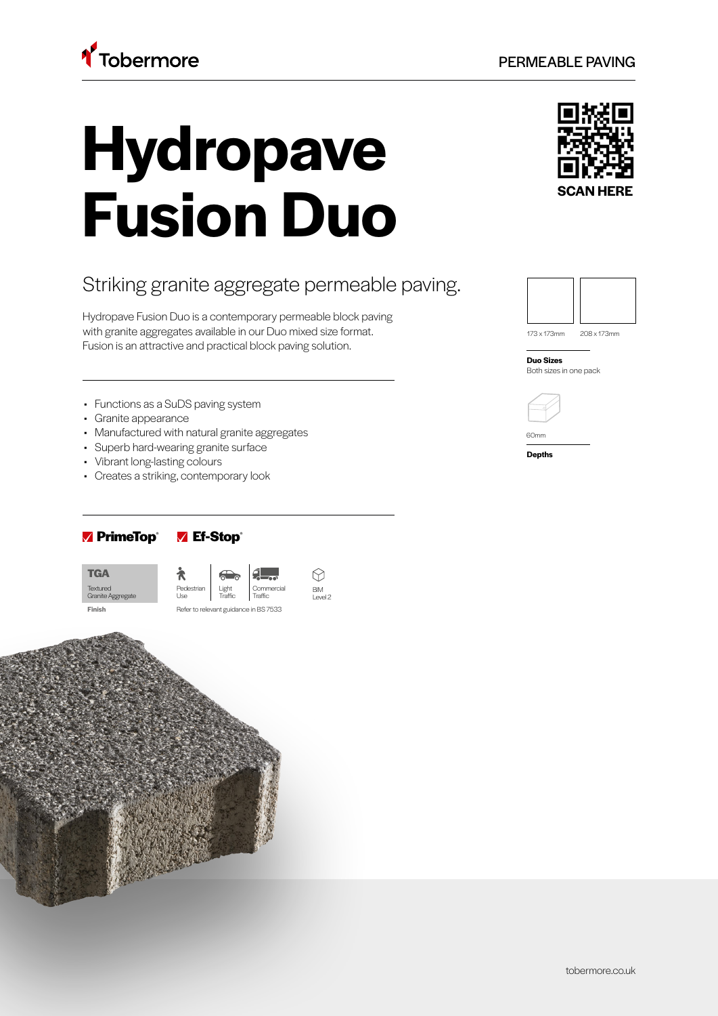# **Hydropave Fusion Duo**

## Striking granite aggregate permeable paving.

Hydropave Fusion Duo is a contemporary permeable block paving with granite aggregates available in our Duo mixed size format. Fusion is an attractive and practical block paving solution.

- Functions as a SuDS paving system
- Granite appearance
- Manufactured with natural granite aggregates
- Superb hard-wearing granite surface
- Vibrant long-lasting colours
- Creates a striking, contemporary look

## **PrimeTop**® **Ef-Stop**®

Textured Granite Aggregate **TGA**







173 x 173mm 208 x 173mm

**Duo Sizes** Both sizes in one pack

**Depths**

60mm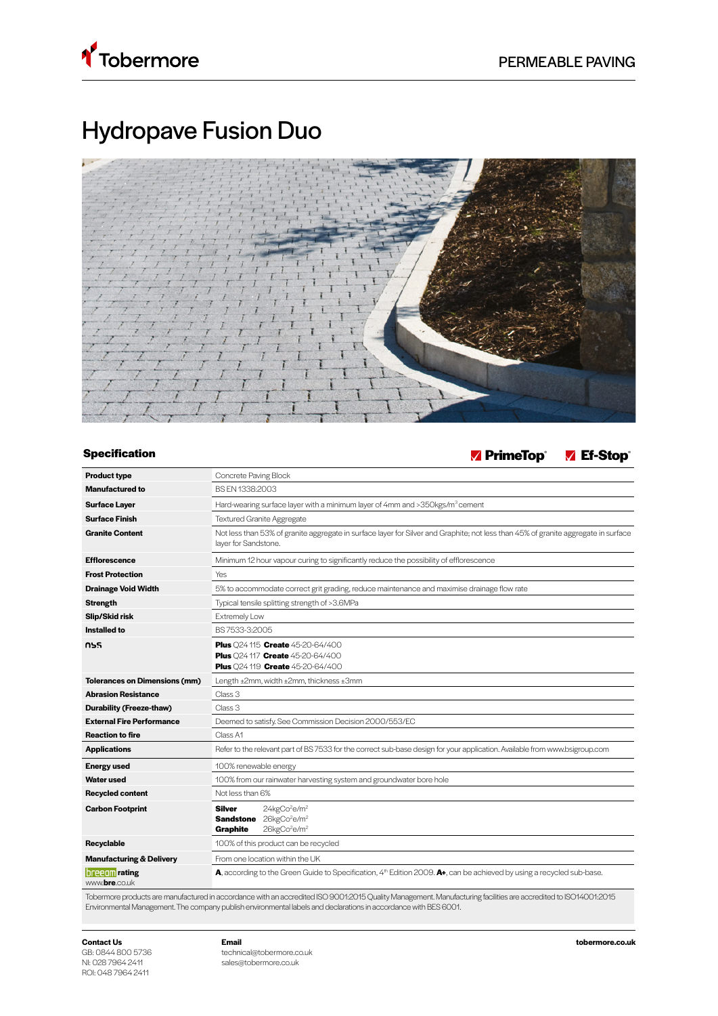

# Hydropave Fusion Duo



**Specification PrimeTop**® **Ef-Stop** 

| <b>Product type</b>                    | Concrete Paving Block                                                                                                                                          |  |  |  |  |  |  |
|----------------------------------------|----------------------------------------------------------------------------------------------------------------------------------------------------------------|--|--|--|--|--|--|
| <b>Manufactured to</b>                 | BS FN 1338:2003                                                                                                                                                |  |  |  |  |  |  |
| <b>Surface Layer</b>                   | Hard-wearing surface layer with a minimum layer of 4mm and >350kgs/m <sup>3</sup> cement                                                                       |  |  |  |  |  |  |
| <b>Surface Finish</b>                  | <b>Textured Granite Aggregate</b>                                                                                                                              |  |  |  |  |  |  |
| <b>Granite Content</b>                 | Not less than 53% of granite aggregate in surface layer for Silver and Graphite; not less than 45% of granite aggregate in surface<br>layer for Sandstone.     |  |  |  |  |  |  |
| <b>Efflorescence</b>                   | Minimum 12 hour vapour curing to significantly reduce the possibility of efflorescence                                                                         |  |  |  |  |  |  |
| <b>Frost Protection</b>                | Yes                                                                                                                                                            |  |  |  |  |  |  |
| <b>Drainage Void Width</b>             | 5% to accommodate correct grit grading, reduce maintenance and maximise drainage flow rate                                                                     |  |  |  |  |  |  |
| <b>Strength</b>                        | Typical tensile splitting strength of >3.6MPa                                                                                                                  |  |  |  |  |  |  |
| Slip/Skid risk                         | Extremely Low                                                                                                                                                  |  |  |  |  |  |  |
| Installed to                           | BS 7533-3:2005                                                                                                                                                 |  |  |  |  |  |  |
| กรร                                    | Plus Q24 115 Create 45-20-64/400<br>Plus 024 117 Create 45-20-64/400<br>Plus Q24 119 Create 45-20-64/400                                                       |  |  |  |  |  |  |
| <b>Tolerances on Dimensions (mm)</b>   | Length ±2mm, width ±2mm, thickness ±3mm                                                                                                                        |  |  |  |  |  |  |
| <b>Abrasion Resistance</b>             | Class 3                                                                                                                                                        |  |  |  |  |  |  |
| Durability (Freeze-thaw)               | Class 3                                                                                                                                                        |  |  |  |  |  |  |
| <b>External Fire Performance</b>       | Deemed to satisfy. See Commission Decision 2000/553/EC                                                                                                         |  |  |  |  |  |  |
| <b>Reaction to fire</b>                | Class A1                                                                                                                                                       |  |  |  |  |  |  |
| <b>Applications</b>                    | Refer to the relevant part of BS 7533 for the correct sub-base design for your application. Available from www.bsigroup.com                                    |  |  |  |  |  |  |
| <b>Energy used</b>                     | 100% renewable energy                                                                                                                                          |  |  |  |  |  |  |
| Water used                             | 100% from our rainwater harvesting system and groundwater bore hole                                                                                            |  |  |  |  |  |  |
| <b>Recycled content</b>                | Not less than 6%                                                                                                                                               |  |  |  |  |  |  |
| <b>Carbon Footprint</b>                | 24kgCo <sup>2</sup> e/m <sup>2</sup><br><b>Silver</b><br>26kgCo <sup>2</sup> e/m <sup>2</sup><br>Sandstone<br>26kgCo <sup>2</sup> e/m <sup>2</sup><br>Graphite |  |  |  |  |  |  |
| Recyclable                             | 100% of this product can be recycled                                                                                                                           |  |  |  |  |  |  |
| <b>Manufacturing &amp; Delivery</b>    | From one location within the UK                                                                                                                                |  |  |  |  |  |  |
| <b>breedin</b> rating<br>www.bre.co.uk | A, according to the Green Guide to Specification, 4 <sup>th</sup> Edition 2009. A+, can be achieved by using a recycled sub-base.                              |  |  |  |  |  |  |
| $T - L - $                             | and the case of the seal is a second seconds on a second in all DO DOM OOAE Outlie Management Manufacturer of all ideas are<br>$\frac{1}{2}$                   |  |  |  |  |  |  |

Tobermore products are manufactured in accordance with an accredited ISO 9001:2015 Quality Management. Manufacturing facilities are accredited to ISO14001:2015 Environmental Management. The company publish environmental labels and declarations in accordance with BES 6001.

**Contact Us** GB: 0844 800 5736 NI: 028 7964 2411 ROI: 048 7964 2411

technical@tobermore.co.uk sales@tobermore.co.uk